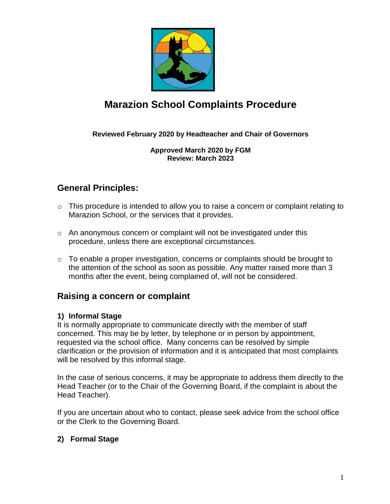

# **Marazion School Complaints Procedure**

#### **Reviewed February 2020 by Headteacher and Chair of Governors**

**Approved March 2020 by FGM Review: March 2023**

### **General Principles:**

- o This procedure is intended to allow you to raise a concern or complaint relating to Marazion School, or the services that it provides.
- $\circ$  An anonymous concern or complaint will not be investigated under this procedure, unless there are exceptional circumstances.
- $\circ$  To enable a proper investigation, concerns or complaints should be brought to the attention of the school as soon as possible. Any matter raised more than 3 months after the event, being complained of, will not be considered.

#### **Raising a concern or complaint**

#### **1) Informal Stage**

It is normally appropriate to communicate directly with the member of staff concerned. This may be by letter, by telephone or in person by appointment, requested via the school office. Many concerns can be resolved by simple clarification or the provision of information and it is anticipated that most complaints will be resolved by this informal stage.

In the case of serious concerns, it may be appropriate to address them directly to the Head Teacher (or to the Chair of the Governing Board, if the complaint is about the Head Teacher).

If you are uncertain about who to contact, please seek advice from the school office or the Clerk to the Governing Board.

#### **2) Formal Stage**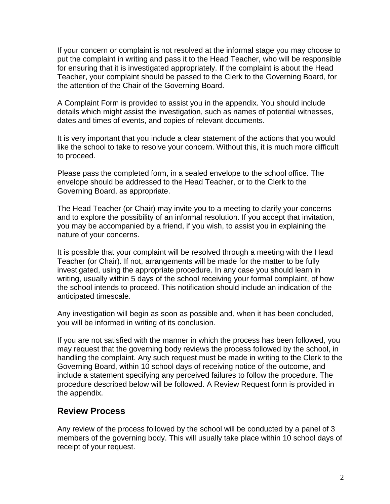If your concern or complaint is not resolved at the informal stage you may choose to put the complaint in writing and pass it to the Head Teacher, who will be responsible for ensuring that it is investigated appropriately. If the complaint is about the Head Teacher, your complaint should be passed to the Clerk to the Governing Board, for the attention of the Chair of the Governing Board.

A Complaint Form is provided to assist you in the appendix. You should include details which might assist the investigation, such as names of potential witnesses, dates and times of events, and copies of relevant documents.

It is very important that you include a clear statement of the actions that you would like the school to take to resolve your concern. Without this, it is much more difficult to proceed.

Please pass the completed form, in a sealed envelope to the school office. The envelope should be addressed to the Head Teacher, or to the Clerk to the Governing Board, as appropriate.

The Head Teacher (or Chair) may invite you to a meeting to clarify your concerns and to explore the possibility of an informal resolution. If you accept that invitation, you may be accompanied by a friend, if you wish, to assist you in explaining the nature of your concerns.

It is possible that your complaint will be resolved through a meeting with the Head Teacher (or Chair). If not, arrangements will be made for the matter to be fully investigated, using the appropriate procedure. In any case you should learn in writing, usually within 5 days of the school receiving your formal complaint, of how the school intends to proceed. This notification should include an indication of the anticipated timescale.

Any investigation will begin as soon as possible and, when it has been concluded, you will be informed in writing of its conclusion.

If you are not satisfied with the manner in which the process has been followed, you may request that the governing body reviews the process followed by the school, in handling the complaint. Any such request must be made in writing to the Clerk to the Governing Board, within 10 school days of receiving notice of the outcome, and include a statement specifying any perceived failures to follow the procedure. The procedure described below will be followed. A Review Request form is provided in the appendix.

#### **Review Process**

Any review of the process followed by the school will be conducted by a panel of 3 members of the governing body. This will usually take place within 10 school days of receipt of your request.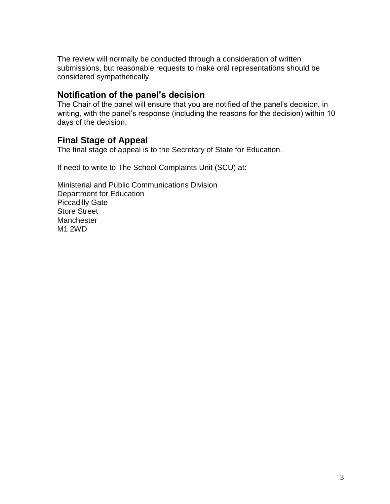The review will normally be conducted through a consideration of written submissions, but reasonable requests to make oral representations should be considered sympathetically.

#### **Notification of the panel's decision**

The Chair of the panel will ensure that you are notified of the panel's decision, in writing, with the panel's response (including the reasons for the decision) within 10 days of the decision.

### **Final Stage of Appeal**

The final stage of appeal is to the Secretary of State for Education.

If need to write to The School Complaints Unit (SCU) at:

Ministerial and Public Communications Division Department for Education Piccadilly Gate Store Street **Manchester** M1 2WD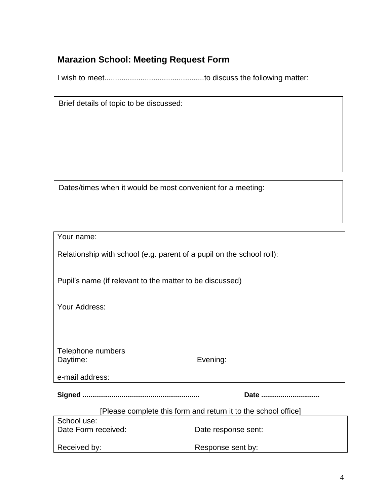### **Marazion School: Meeting Request Form**

I wish to meet...............................................to discuss the following matter:

Dates/times when it would be most convenient for a meeting:

Your name:

Relationship with school (e.g. parent of a pupil on the school roll):

Pupil's name (if relevant to the matter to be discussed)

Your Address:

Telephone numbers Daytime: Evening:

**Signed ............................................................ Date ..............................**

| [Please complete this form and return it to the school office] |
|----------------------------------------------------------------|
|----------------------------------------------------------------|

| School use:         |                     |  |
|---------------------|---------------------|--|
| Date Form received: | Date response sent: |  |
| Received by:        | Response sent by:   |  |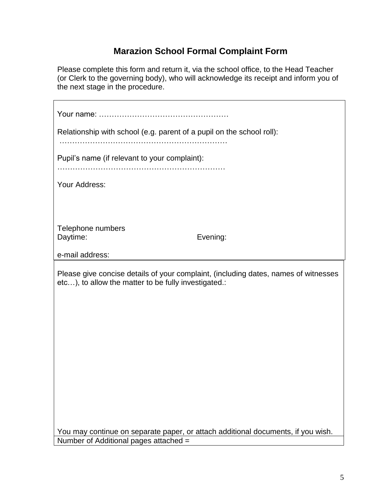## **Marazion School Formal Complaint Form**

Please complete this form and return it, via the school office, to the Head Teacher (or Clerk to the governing body), who will acknowledge its receipt and inform you of the next stage in the procedure.

| Relationship with school (e.g. parent of a pupil on the school roll):<br>Pupil's name (if relevant to your complaint): |                                                                                     |  |  |  |
|------------------------------------------------------------------------------------------------------------------------|-------------------------------------------------------------------------------------|--|--|--|
|                                                                                                                        |                                                                                     |  |  |  |
|                                                                                                                        |                                                                                     |  |  |  |
| Telephone numbers<br>Daytime:                                                                                          | Evening:                                                                            |  |  |  |
| e-mail address:                                                                                                        |                                                                                     |  |  |  |
| etc), to allow the matter to be fully investigated.:                                                                   | Please give concise details of your complaint, (including dates, names of witnesses |  |  |  |
| You may continue on separate paper, or attach additional documents, if you wish.                                       |                                                                                     |  |  |  |
| Number of Additional pages attached =                                                                                  |                                                                                     |  |  |  |